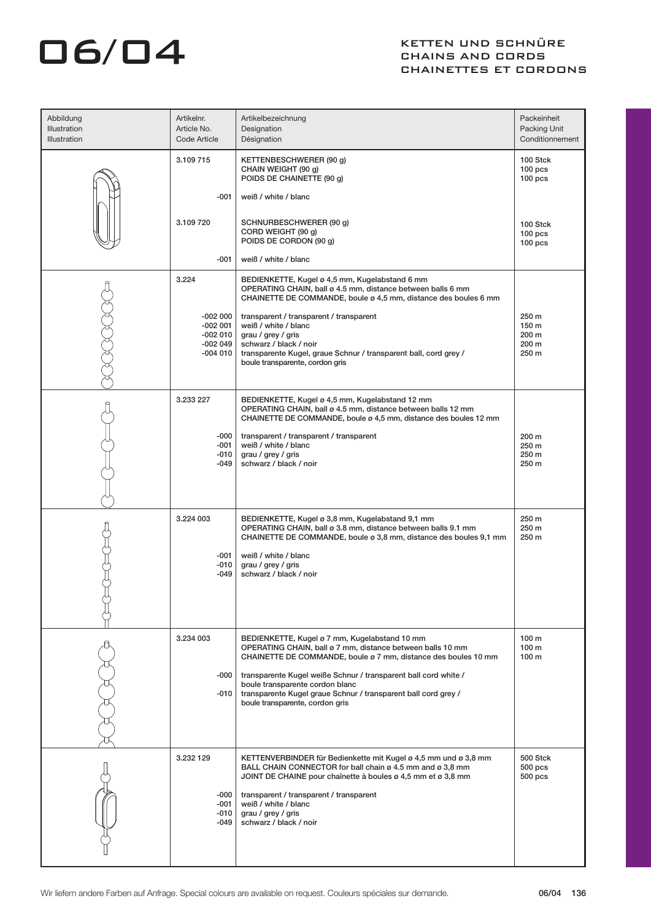## O6/04 KETTEN UND SCHNÜRE CHAINS AND CORDS CHAINETTES ET CORDONS

| Abbildung<br>Illustration<br>Illustration | Artikelnr.<br>Article No.<br>Code Article                     | Artikelbezeichnung<br>Designation<br>Désignation                                                                                                                                                                                                                                                                                                                                         | Packeinheit<br>Packing Unit<br>Conditionnement           |
|-------------------------------------------|---------------------------------------------------------------|------------------------------------------------------------------------------------------------------------------------------------------------------------------------------------------------------------------------------------------------------------------------------------------------------------------------------------------------------------------------------------------|----------------------------------------------------------|
|                                           | 3.109 715                                                     | KETTENBESCHWERER (90 g)<br>CHAIN WEIGHT (90 g)<br>POIDS DE CHAINETTE (90 g)                                                                                                                                                                                                                                                                                                              | 100 Stck<br>$100$ pcs<br>$100$ pcs                       |
|                                           | $-001$<br>3.109 720                                           | weiß / white / blanc<br>SCHNURBESCHWERER (90 g)<br>CORD WEIGHT (90 g)<br>POIDS DE CORDON (90 g)                                                                                                                                                                                                                                                                                          | 100 Stck<br>$100$ pcs<br>100 <sub>pos</sub>              |
|                                           | $-001$                                                        | weiß / white / blanc                                                                                                                                                                                                                                                                                                                                                                     |                                                          |
|                                           | 3.224                                                         | BEDIENKETTE, Kugel ø 4,5 mm, Kugelabstand 6 mm<br>OPERATING CHAIN, ball ø 4.5 mm, distance between balls 6 mm<br>CHAINETTE DE COMMANDE, boule ø 4,5 mm, distance des boules 6 mm                                                                                                                                                                                                         |                                                          |
|                                           | $-002000$<br>$-002001$<br>$-002010$<br>$-002049$<br>$-004010$ | transparent / transparent / transparent<br>weiß / white / blanc<br>grau / grey / gris<br>schwarz / black / noir<br>transparente Kugel, graue Schnur / transparent ball, cord grey /<br>boule transparente, cordon gris                                                                                                                                                                   | 250 m<br>150 m<br>200 m<br>200 m<br>250 m                |
|                                           | 3.233 227                                                     | BEDIENKETTE, Kugel ø 4,5 mm, Kugelabstand 12 mm<br>OPERATING CHAIN, ball ø 4.5 mm, distance between balls 12 mm<br>CHAINETTE DE COMMANDE, boule ø 4,5 mm, distance des boules 12 mm                                                                                                                                                                                                      |                                                          |
|                                           | $-000$<br>-001<br>$-010$<br>-049                              | transparent / transparent / transparent<br>weiß / white / blanc<br>grau / grey / gris<br>schwarz / black / noir                                                                                                                                                                                                                                                                          | 200 m<br>250 m<br>250 m<br>250 m                         |
|                                           | 3.224 003<br>$-001$<br>$-010$<br>-049                         | BEDIENKETTE, Kugel ø 3,8 mm, Kugelabstand 9,1 mm<br>OPERATING CHAIN, ball ø 3.8 mm, distance between balls 9.1 mm<br>CHAINETTE DE COMMANDE, boule ø 3,8 mm, distance des boules 9,1 mm<br>weiß / white / blanc<br>grau / grey / gris<br>schwarz / black / noir                                                                                                                           | 250 m<br>250 m<br>250 m                                  |
|                                           | 3.234 003<br>$-000$<br>$-010$                                 | BEDIENKETTE, Kugel ø 7 mm, Kugelabstand 10 mm<br>OPERATING CHAIN, ball ø 7 mm, distance between balls 10 mm<br>CHAINETTE DE COMMANDE, boule ø 7 mm, distance des boules 10 mm<br>transparente Kugel weiße Schnur / transparent ball cord white /<br>boule transparente cordon blanc<br>transparente Kugel graue Schnur / transparent ball cord grey /<br>boule transparente, cordon gris | 100 <sub>m</sub><br>100 <sub>m</sub><br>100 <sub>m</sub> |
|                                           | 3.232 129<br>$-000$<br>-001<br>$-010$<br>$-049$               | KETTENVERBINDER für Bedienkette mit Kugel ø 4,5 mm und ø 3,8 mm<br>BALL CHAIN CONNECTOR for ball chain ø 4.5 mm and ø 3,8 mm<br>JOINT DE CHAINE pour chaînette à boules ø 4,5 mm et ø 3,8 mm<br>transparent / transparent / transparent<br>weiß / white / blanc<br>grau / grey / gris<br>schwarz / black / noir                                                                          | <b>500 Stck</b><br>$500$ pcs<br>$500$ pcs                |